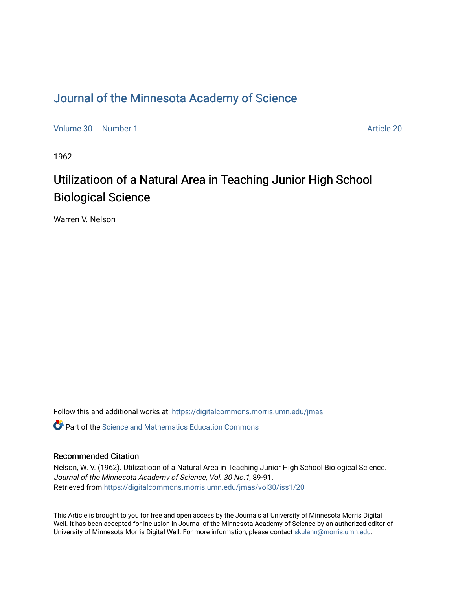### [Journal of the Minnesota Academy of Science](https://digitalcommons.morris.umn.edu/jmas)

[Volume 30](https://digitalcommons.morris.umn.edu/jmas/vol30) [Number 1](https://digitalcommons.morris.umn.edu/jmas/vol30/iss1) [Article 20](https://digitalcommons.morris.umn.edu/jmas/vol30/iss1/20) Article 20

1962

# Utilizatioon of a Natural Area in Teaching Junior High School Biological Science

Warren V. Nelson

Follow this and additional works at: [https://digitalcommons.morris.umn.edu/jmas](https://digitalcommons.morris.umn.edu/jmas?utm_source=digitalcommons.morris.umn.edu%2Fjmas%2Fvol30%2Fiss1%2F20&utm_medium=PDF&utm_campaign=PDFCoverPages) 

 $\bullet$  Part of the Science and Mathematics Education Commons

### Recommended Citation

Nelson, W. V. (1962). Utilizatioon of a Natural Area in Teaching Junior High School Biological Science. Journal of the Minnesota Academy of Science, Vol. 30 No.1, 89-91. Retrieved from [https://digitalcommons.morris.umn.edu/jmas/vol30/iss1/20](https://digitalcommons.morris.umn.edu/jmas/vol30/iss1/20?utm_source=digitalcommons.morris.umn.edu%2Fjmas%2Fvol30%2Fiss1%2F20&utm_medium=PDF&utm_campaign=PDFCoverPages) 

This Article is brought to you for free and open access by the Journals at University of Minnesota Morris Digital Well. It has been accepted for inclusion in Journal of the Minnesota Academy of Science by an authorized editor of University of Minnesota Morris Digital Well. For more information, please contact [skulann@morris.umn.edu](mailto:skulann@morris.umn.edu).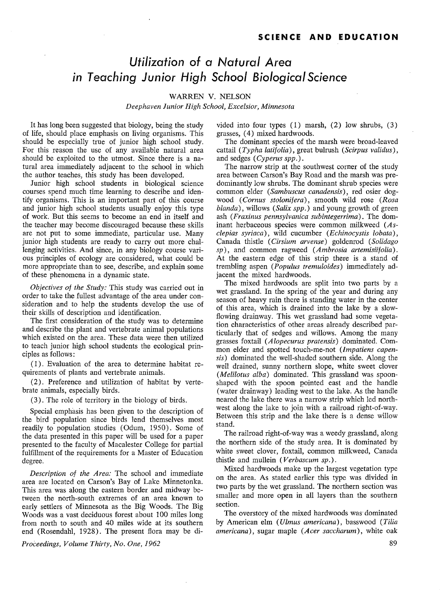## *Utilization of* **a** *Natural Area in Teaching Junior High School Biological Science*

#### WARREN V. NELSON

*Deephaven Junior High School, Excelsior, Minnesota* 

It has long been suggested that biology, being the study of life, should place emphasis on living organisms. This should be especially true of junior high school study. For this reason the use of any available natural area should be exploited to the utmost. Since there is a natural area immediately adjacent to the school in which the author teaches, this study has been developed.

Junior high school students in biological science courses spend much time learning to describe and identify organisms. This is an important part of this course and junior high school students usually enjoy this type of work. But this seems to become an end in itself and the teacher may become discouraged because these skills are not put to some immediate, particular use. Many junior high students are ready to carry out more challenging activities. And since, in any biology course various principles of ecology are considered, what could be more appropriate than to see, describe, and explain some of these phenomena in a dynamic state.

*Objectives of the Study:* This study was carried out in order to take the fullest advantage of the area under consideration and to help the students develop the use of their skills of description and identification.

The first consideration of the study was to determine and describe the plant and vertebrate animal populations which existed on the area. These data were then utilized to teach junior high school students the ecological principles as follows:

( 1). Evaluation of the area to determine habitat requirements of plants and vertebrate animals.

(2). Preference and utilization of habitat by vertebrate animals, especially birds.

(3). The role of territory in the biology of birds.

Special emphasis has been given to the description of the bird population since birds lend themselves most readily to population studies (Odum, 1950). Some of the data presented in this paper will be used for a paper presented to the faculty of Macalester College for partial fulfillment of the requirements for a Master of Education degree.

*Description of the Area:* The school and immediate area are located on Carson's Bay of Lake Minnetonka. This area was along the eastern border and midway between the north-south extremes of an area known to early settlers of Minnesota as the Big Woods. The Big Woods was a vast deciduous forest about 100 miles long from north to south and 40 miles wide at its southern end (Rosendahl, 1928). The present flora may be di-

*Proceedings, Volume Thirty, No. One, 1962* 

vided into four types  $(1)$  marsh,  $(2)$  low shrubs,  $(3)$ grasses, ( 4) mixed hardwoods.

The dominant species of the marsh were broad-leaved cattail ( *Typha latifolia),* great bulrush *(Scirpus validus),*  and sedges (*Cyperus spp.*).

The narrow strip at the southwest corner of the study area between Carson's Bay Road and the marsh was predominantly low shrubs. The dominant shrub species were common elder *(Sambuscus canadensis* ), red osier dogwood *(Cornus stolonifera),* smooth wild rose *(Rosa blanda),* willows *(Salix spp.)* and young growth of green ash ( *Fraxinus pennsylvanica subintegerrima).* The dominant herbaceous species were common milkweed *(Asclepias syriaca),* wild cucumber *(Echinocystis lobata),*  Canada thistle ( *Cirsium arvense)* goldenrod *(Solidago sp),* and common ragweed *(Ambrosia artemisiifolia).*  At the eastern edge of this strip there is a stand of trembling aspen *(Populus tremuloides)* immediately adjacent the mixed hardwoods.

The mixed hardwoods are split into two parts by a wet grassland. In the spring of the year and during any season of heavy rain there is standing water in the center of this area, which is drained into the lake by a slowflowing drainway. This wet grassland had some vegetation characteristics of other areas already described particularly that of sedges and willows. Among the many grasses foxtail *(Alopecurus pratensis)* dominated. Common elder and spotted touch-me-not *(Impatiens capensis)* dominated the well-shaded southern side. Along the well drained, sunny northern slope, white sweet clover *(Melilotus alba)* dominated. This grassland was spoonshaped with the spoon pointed east and the handle ( water drain way) leading west to the lake. As the handle neared the lake there was a narrow strip which led northwest along the lake to join with a railroad right-of-way. Between this strip and the lake there is a dense willow stand.

The railroad right-of-way was a weedy grassland, along the northern side of the study area. It is dominated by white sweet clover, foxtail, common milkweed, Canada thistle and mullein ( *V erbascum sp.)* .

Mixed hardwoods make up the largest vegetation type on the area. As stated earlier this type was divided in two parts by the wet grassland. The northern section was smaller and more open in all layers than the southern section.

The overstory of the mixed hardwoods was dominated by American elm ( *Ulmus americana),* basswood ( *Tilia americana),* sugar maple *(Acer saccharum),* white oak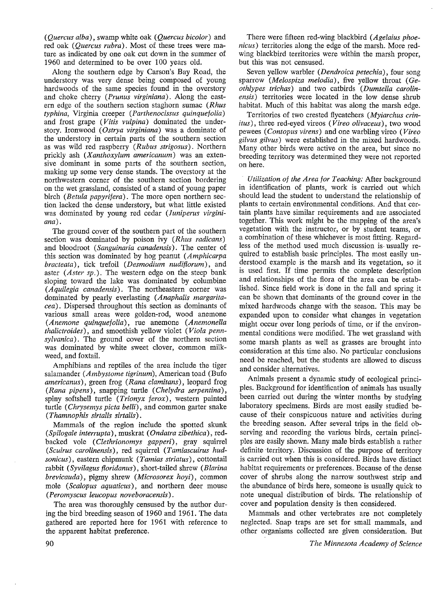*(Quercus alba),* swamp white oak *(Quercus bicolor)* and red oak *(Quercus rubra).* Most of these trees were mature as indicated by one oak cut down in the summer of 1960 and determined to be over 100 years old.

Along the southern edge by Carson's Bay Road, the understory was very dense being composed of young hardwoods of the same species found in the overstory and choke cherry *(Prunus virginiana).* Along the eastern edge of the southern section staghorn sumac *(Rhus typhina,* Virginia creeper *(Parthenocissus quinquefolia)*  and frost grape (*Vitis vulpina*) dominated the understory. Ironwood ( *Ostrya virginiana)* was a dominate of the understory in certain parts of the southern section as was wild red raspberry (Rubus strigosus). Northern prickly ash *(Xanthoxylum americanum)* was an extensive dominant in some parts of the southern section, making up some very dense stands. The overstory at the northwestern corner of the southern section bordering on the wet grassland, consisted of a stand of young paper birch *(Betula papyrifera).* The more open northern section lacked the dense understory, but what little existed was dominated by young red cedar *(Juniperus virginiana).* 

The ground cover of the southern part of the southern section was dominated by poison ivy (Rhus radicans) and bloodroot *(Sanguinaria canadensis).* The center of this section was dominated by hog peanut *(Amphicarpa bracteata),* tick trefoil *(Desmodium nudifiorum),* and aster *(Aster sp.).* The western edge on the steep bank sloping toward the lake was dominated by columbine ( *A quilegia canadensis).* The northeastern corner was dominated by pearly everlasting *(Anaphalis margaritacea).* Dispersed throughout this section as dominants of various small areas were golden-rod, wood anemone *(Anemone quinquefolia),* rue anemone *(Anemonella thalictroides),* and smoothish yellow violet ( *Viola pennsylvanica)* . The ground cover of the northern section was dominated by white sweet clover, common milkweed, and foxtail.

Amphibians and reptiles of the area include the tiger salamander *(Ambystome tigrinum),* American toad (Bufo *americanus),* green frog ( *Rana clamitans),* leopard frog *(Rana pipens),* snapping turtle *(Chelydra serpentina),*  spiny softshell turtle ( *Trionyx ferox),* western painted turtle ( *Chrysemys picta belli),* and common garter snake *(Thamnophis sirtalis sirtalis).* 

Mammals of the region include the spotted skunk *(Spilogale interrupta),* muskrat *(Ondatra zibethica),* redbacked vole (*Clethrionomys gapperi*), gray squirrel *(Scuirus carolinensis),* red squirrel *(Tamiascuirus hudsonicus),* eastern chipmunk ( *Tamias striatus)* , cottontail rabbit *(Syvilagus fioridanus),* short-tailed shrew *(Blarina brevicauda),* pigmy shrew *(Microsorex hoyi),* common mole *(Scalopus aquaticus),* and northern deer mouse *(Peromyscus leucopus noveboracensis).* 

The area was thoroughly censused by the author during the bird breeding season of 1960 and 1961. The data gathered are reported here for 1961 with reference to the apparent habitat preference.

There were fifteen red-wing blackbird *(Agelaius phoenicus)* territories along the edge of the marsh. More redwing blackbird territories were within the marsh proper, but this was not censused.

Seven yellow warbler ( *Dendroica petechia),* four song sparrow *(Melospiza melodia),* five yellow throat ( *Geothlypes trichas)* and two catbirds *(Dumtella carolinensis)* territories were located in the low dense shrub habitat. Much of this habitat was along the marsh edge.

Territories of two crested flycatchers *(Myiarchus crinitus)* , three red-eyed vireos ( *Vireo olivaceus),* two wood pewees ( *Contopus virens)* and one warbling vireo ( *Vireo gilvus gilvus)* were established in the mixed hardwoods. Many other birds were active on the area, but since no breeding territory was determined they were not reported on here.

*Utilization of the Area for Teaching:* After background in identification of plants, work is carried out which should lead the student to understand the relationship of plants to certain environmental conditions. And that certain plants have similar requirements and are associated together. This work might be the mapping of the area's vegetation with the instructor, or by student teams, or a combination of these whichever is most fitting. Regardless of the method used much discussion is- usually required to establish basic principles. The most easily understood example is the marsh and its vegetation, so it is used first. If time permits the complete description and relationships of the flora of the area can be established. Since field work is· done in the fall and spring it can be shown that dominants of the ground cover in the mixed hardwoods change with the season. This may be expanded upon to consider what changes in vegetation might occur over long periods of time, or if the environmental conditions were modified. The wet grassland with some marsh plants as well as grasses are brought into consideration at this time also. No particular conclusions need be reached, but the students are allowed to discuss and consider alternatives.

Animals present a dynamic study of ecological principles. Background for identification of animals has usually been carried out during the winter months by studying laboratory specimens. Birds are most easily studied because of their conspicuous nature and activities during the breeding season. After several trips in the field observing and recording the various birds, certain principles are easily shown. Many male birds establish a rather definite territory. Discussion of the purpose of territory is carried out when this is considered. Birds have distinct habitat requirements or preferences. Because of the dense cover of shrubs along the narrow southwest strip and the abundance of birds here, someone is usually quick to note unequal distribution of birds. The relationship of cover and population density is then considered.

Mammals and other vertebrates are not completely neglected. Snap traps are set for small mammals, and other organisms collected are given consideration. But

*The Minnesota Academy of Science*